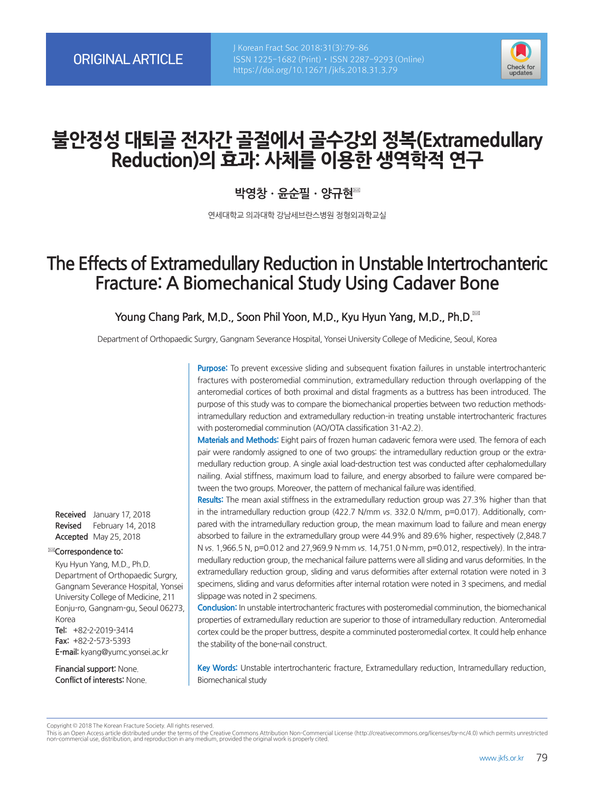

# **불안정성 대퇴골 전자간 골절에서 골수강외 정복(Extramedullary Reduction)의 효과: 사체를 이용한 생역학적 연구**

# **박영창ㆍ윤순필ㆍ양규현**

연세대학교 의과대학 강남세브란스병원 정형외과학교실

# **The Effects of Extramedullary Reduction in Unstable Intertrochanteric Fracture: A Biomechanical Study Using Cadaver Bone**

**Young Chang Park, M.D., Soon Phil Yoon, M.D., Kyu Hyun Yang, M.D., Ph.D.**

Department of Orthopaedic Surgry, Gangnam Severance Hospital, Yonsei University College of Medicine, Seoul, Korea

**Purpose:** To prevent excessive sliding and subsequent fixation failures in unstable intertrochanteric fractures with posteromedial comminution, extramedullary reduction through overlapping of the anteromedial cortices of both proximal and distal fragments as a buttress has been introduced. The purpose of this study was to compare the biomechanical properties between two reduction methods– intramedullary reduction and extramedullary reduction–in treating unstable intertrochanteric fractures with posteromedial comminution (AO/OTA classification 31-A2.2).

**Materials and Methods:** Eight pairs of frozen human cadaveric femora were used. The femora of each pair were randomly assigned to one of two groups: the intramedullary reduction group or the extramedullary reduction group. A single axial load-destruction test was conducted after cephalomedullary nailing. Axial stiffness, maximum load to failure, and energy absorbed to failure were compared between the two groups. Moreover, the pattern of mechanical failure was identified.

**Results:** The mean axial stiffness in the extramedullary reduction group was 27.3% higher than that in the intramedullary reduction group (422.7 N/mm vs. 332.0 N/mm, p=0.017). Additionally, compared with the intramedullary reduction group, the mean maximum load to failure and mean energy absorbed to failure in the extramedullary group were 44.9% and 89.6% higher, respectively (2,848.7 N vs. 1,966.5 N, p=0.012 and 27,969.9 N·mm vs. 14,751.0 N·mm, p=0.012, respectively). In the intramedullary reduction group, the mechanical failure patterns were all sliding and varus deformities. In the extramedullary reduction group, sliding and varus deformities after external rotation were noted in 3 specimens, sliding and varus deformities after internal rotation were noted in 3 specimens, and medial slippage was noted in 2 specimens.

**Conclusion:** In unstable intertrochanteric fractures with posteromedial comminution, the biomechanical properties of extramedullary reduction are superior to those of intramedullary reduction. Anteromedial cortex could be the proper buttress, despite a comminuted posteromedial cortex. It could help enhance the stability of the bone-nail construct.

**Key Words:** Unstable intertrochanteric fracture, Extramedullary reduction, Intramedullary reduction, Biomechanical study

**Received** January 17, 2018 **Revised** February 14, 2018 **Accepted** May 25, 2018

#### **Correspondence to:**

Kyu Hyun Yang, M.D., Ph.D. Department of Orthopaedic Surgry, Gangnam Severance Hospital, Yonsei University College of Medicine, 211 Eonju-ro, Gangnam-gu, Seoul 06273, Korea **Tel:** +82-2-2019-3414 **Fax:** +82-2-573-5393 **E-mail:** kyang@yumc.yonsei.ac.kr

**Financial support:** None. **Conflict of interests:** None.

Copyright © 2018 The Korean Fracture Society. All rights reserved.

This is an Open Access article distributed under the terms of the Creative Commons Attribution Non-Commercial License (http://creativecommons.org/licenses/by-nc/4.0) which permits unrestricted non-commercial use, distribution, and reproduction in any medium, provided the original work is properly cited.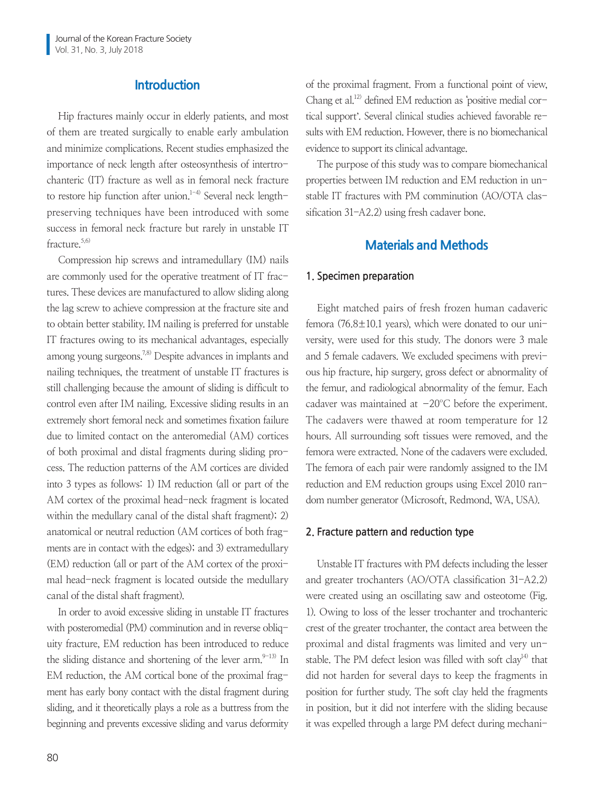# **Introduction**

Hip fractures mainly occur in elderly patients, and most of them are treated surgically to enable early ambulation and minimize complications. Recent studies emphasized the importance of neck length after osteosynthesis of intertrochanteric (IT) fracture as well as in femoral neck fracture to restore hip function after union.<sup>1-4)</sup> Several neck lengthpreserving techniques have been introduced with some success in femoral neck fracture but rarely in unstable IT fracture.<sup>5,6)</sup>

Compression hip screws and intramedullary (IM) nails are commonly used for the operative treatment of IT fractures. These devices are manufactured to allow sliding along the lag screw to achieve compression at the fracture site and to obtain better stability. IM nailing is preferred for unstable IT fractures owing to its mechanical advantages, especially among young surgeons.<sup>7,8)</sup> Despite advances in implants and nailing techniques, the treatment of unstable IT fractures is still challenging because the amount of sliding is difficult to control even after IM nailing. Excessive sliding results in an extremely short femoral neck and sometimes fixation failure due to limited contact on the anteromedial (AM) cortices of both proximal and distal fragments during sliding process. The reduction patterns of the AM cortices are divided into 3 types as follows: 1) IM reduction (all or part of the AM cortex of the proximal head-neck fragment is located within the medullary canal of the distal shaft fragment); 2) anatomical or neutral reduction (AM cortices of both fragments are in contact with the edges); and 3) extramedullary (EM) reduction (all or part of the AM cortex of the proximal head-neck fragment is located outside the medullary canal of the distal shaft fragment).

In order to avoid excessive sliding in unstable IT fractures with posteromedial (PM) comminution and in reverse obliquity fracture, EM reduction has been introduced to reduce the sliding distance and shortening of the lever  $arm$ .<sup>9-13)</sup> In EM reduction, the AM cortical bone of the proximal fragment has early bony contact with the distal fragment during sliding, and it theoretically plays a role as a buttress from the beginning and prevents excessive sliding and varus deformity of the proximal fragment. From a functional point of view, Chang et al.<sup>12)</sup> defined EM reduction as 'positive medial cortical support'. Several clinical studies achieved favorable results with EM reduction. However, there is no biomechanical evidence to support its clinical advantage.

The purpose of this study was to compare biomechanical properties between IM reduction and EM reduction in unstable IT fractures with PM comminution (AO/OTA classification 31-A2.2) using fresh cadaver bone.

# **Materials and Methods**

#### **1. Specimen preparation**

Eight matched pairs of fresh frozen human cadaveric femora (76.8 $\pm$ 10.1 years), which were donated to our university, were used for this study. The donors were 3 male and 5 female cadavers. We excluded specimens with previous hip fracture, hip surgery, gross defect or abnormality of the femur, and radiological abnormality of the femur. Each cadaver was maintained at  $-20^{\circ}$ C before the experiment. The cadavers were thawed at room temperature for 12 hours. All surrounding soft tissues were removed, and the femora were extracted. None of the cadavers were excluded. The femora of each pair were randomly assigned to the IM reduction and EM reduction groups using Excel 2010 random number generator (Microsoft, Redmond, WA, USA).

### **2. Fracture pattern and reduction type**

Unstable IT fractures with PM defects including the lesser and greater trochanters (AO/OTA classification 31-A2.2) were created using an oscillating saw and osteotome (Fig. 1). Owing to loss of the lesser trochanter and trochanteric crest of the greater trochanter, the contact area between the proximal and distal fragments was limited and very unstable. The PM defect lesion was filled with soft clay<sup>14)</sup> that did not harden for several days to keep the fragments in position for further study. The soft clay held the fragments in position, but it did not interfere with the sliding because it was expelled through a large PM defect during mechani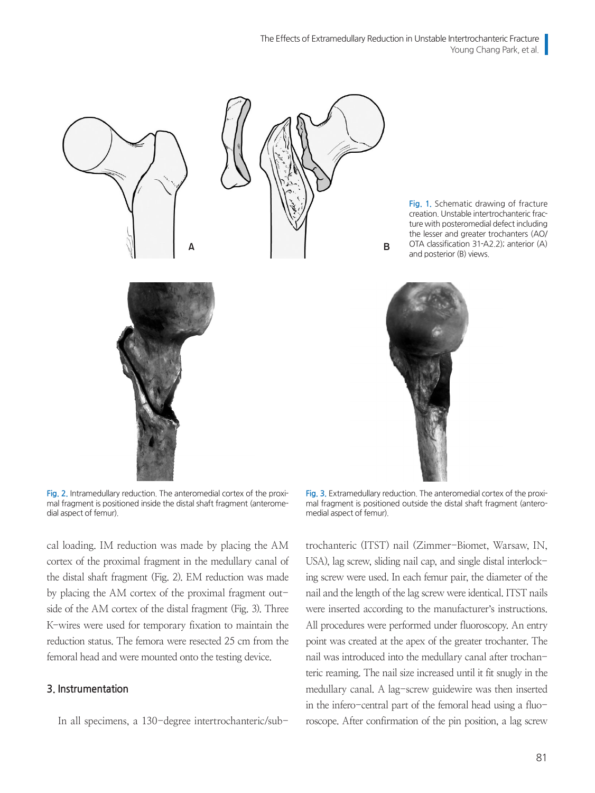The Effects of Extramedullary Reduction in Unstable Intertrochanteric Fracture Young Chang Park, et al.



**Fig. 2.** Intramedullary reduction. The anteromedial cortex of the proximal fragment is positioned inside the distal shaft fragment (anteromedial aspect of femur).

cal loading. IM reduction was made by placing the AM cortex of the proximal fragment in the medullary canal of the distal shaft fragment (Fig. 2). EM reduction was made by placing the AM cortex of the proximal fragment outside of the AM cortex of the distal fragment (Fig. 3). Three K-wires were used for temporary fixation to maintain the reduction status. The femora were resected 25 cm from the femoral head and were mounted onto the testing device.

#### **3. Instrumentation**

In all specimens, a 130-degree intertrochanteric/sub-

**Fig. 3.** Extramedullary reduction. The anteromedial cortex of the proximal fragment is positioned outside the distal shaft fragment (anteromedial aspect of femur).

trochanteric (ITST) nail (Zimmer-Biomet, Warsaw, IN, USA), lag screw, sliding nail cap, and single distal interlocking screw were used. In each femur pair, the diameter of the nail and the length of the lag screw were identical. ITST nails were inserted according to the manufacturer's instructions. All procedures were performed under fluoroscopy. An entry point was created at the apex of the greater trochanter. The nail was introduced into the medullary canal after trochanteric reaming. The nail size increased until it fit snugly in the medullary canal. A lag-screw guidewire was then inserted in the infero-central part of the femoral head using a fluoroscope. After confirmation of the pin position, a lag screw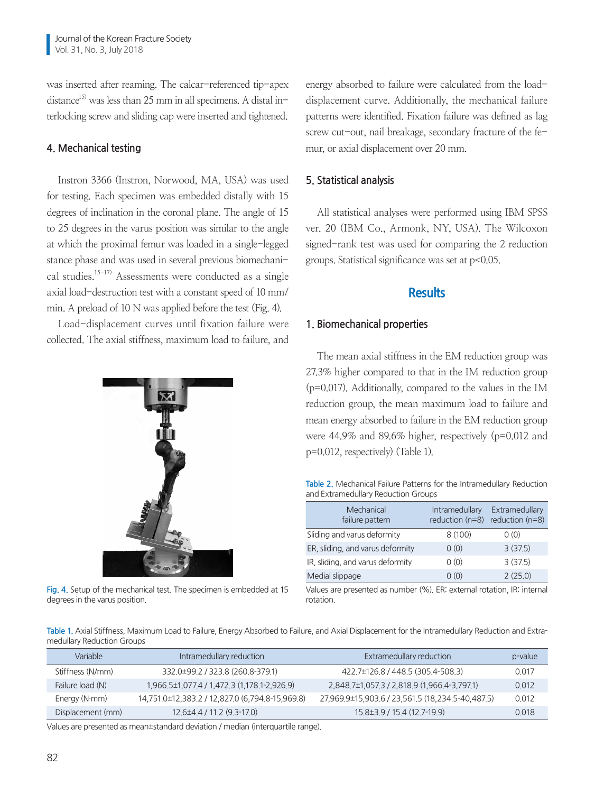was inserted after reaming. The calcar-referenced tip-apex distance<sup>15)</sup> was less than 25 mm in all specimens. A distal interlocking screw and sliding cap were inserted and tightened.

## **4. Mechanical testing**

Instron 3366 (Instron, Norwood, MA, USA) was used for testing. Each specimen was embedded distally with 15 degrees of inclination in the coronal plane. The angle of 15 to 25 degrees in the varus position was similar to the angle at which the proximal femur was loaded in a single-legged stance phase and was used in several previous biomechanical studies.15-17) Assessments were conducted as a single axial load-destruction test with a constant speed of 10 mm/ min. A preload of 10 N was applied before the test (Fig. 4).

Load-displacement curves until fixation failure were collected. The axial stiffness, maximum load to failure, and



**Fig. 4.** Setup of the mechanical test. The specimen is embedded at 15 degrees in the varus position.

energy absorbed to failure were calculated from the loaddisplacement curve. Additionally, the mechanical failure patterns were identified. Fixation failure was defined as lag screw cut-out, nail breakage, secondary fracture of the femur, or axial displacement over 20 mm.

# **5. Statistical analysis**

All statistical analyses were performed using IBM SPSS ver. 20 (IBM Co., Armonk, NY, USA). The Wilcoxon signed-rank test was used for comparing the 2 reduction groups. Statistical significance was set at p<0.05.

# **Results**

## **1. Biomechanical properties**

The mean axial stiffness in the EM reduction group was 27.3% higher compared to that in the IM reduction group (p=0.017). Additionally, compared to the values in the IM reduction group, the mean maximum load to failure and mean energy absorbed to failure in the EM reduction group were 44.9% and 89.6% higher, respectively (p=0.012 and p=0.012, respectively) (Table 1).

**Table 2.** Mechanical Failure Patterns for the Intramedullary Reduction and Extramedullary Reduction Groups

| Mechanical<br>failure pattern    | <b>Intramedullary</b><br>reduction $(n=8)$ | Extramedullary<br>reduction (n=8) |
|----------------------------------|--------------------------------------------|-----------------------------------|
| Sliding and varus deformity      | 8(100)                                     | 0(0)                              |
| ER, sliding, and varus deformity | 0(0)                                       | 3(37.5)                           |
| IR, sliding, and varus deformity | 0(0)                                       | 3(37.5)                           |
| Medial slippage                  | 0(0)                                       | 2(25.0)                           |

Values are presented as number (%). ER: external rotation, IR: internal rotation.

**Table 1.** Axial Stiffness, Maximum Load to Failure, Energy Absorbed to Failure, and Axial Displacement for the Intramedullary Reduction and Extramedullary Reduction Groups

| Variable             | Intramedullary reduction                        | Extramedullary reduction                         | p-value |
|----------------------|-------------------------------------------------|--------------------------------------------------|---------|
| Stiffness (N/mm)     | 332.0±99.2 / 323.8 (260.8-379.1)                | 422.7±126.8 / 448.5 (305.4-508.3)                | 0.017   |
| Failure load (N)     | 1,966.5±1,077.4 / 1,472.3 (1,178.1-2,926.9)     | 2,848.7±1,057.3 / 2,818.9 (1,966.4-3,797.1)      | 0.012   |
| Energy $(N \cdot m)$ | 14,751.0±12,383.2 / 12,827.0 (6,794.8-15,969.8) | 27,969.9±15,903.6 / 23,561.5 (18,234.5-40,487.5) | 0.012   |
| Displacement (mm)    | 12.6±4.4 / 11.2 (9.3-17.0)                      | 15.8±3.9 / 15.4 (12.7-19.9)                      | 0.018   |

Values are presented as mean±standard deviation / median (interquartile range).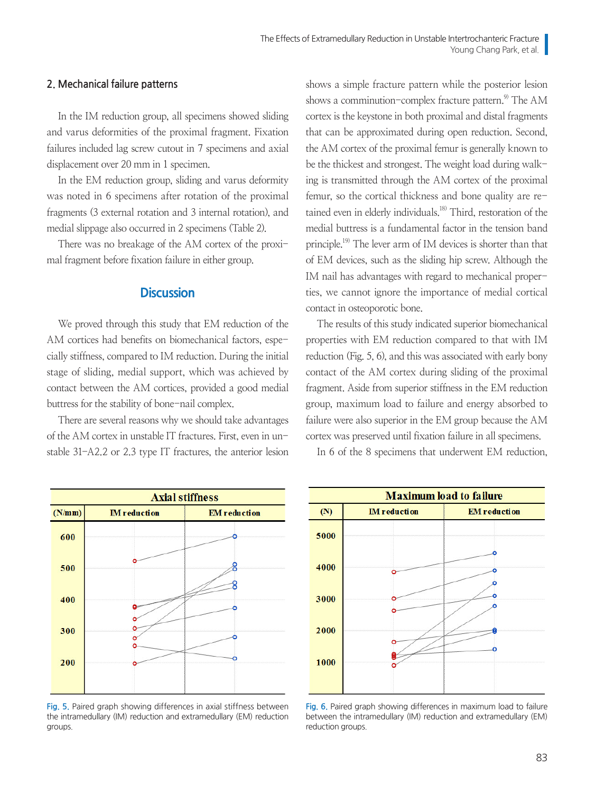### **2. Mechanical failure patterns**

In the IM reduction group, all specimens showed sliding and varus deformities of the proximal fragment. Fixation failures included lag screw cutout in 7 specimens and axial displacement over 20 mm in 1 specimen.

In the EM reduction group, sliding and varus deformity was noted in 6 specimens after rotation of the proximal fragments (3 external rotation and 3 internal rotation), and medial slippage also occurred in 2 specimens (Table 2).

There was no breakage of the AM cortex of the proximal fragment before fixation failure in either group.

# **Discussion**

We proved through this study that EM reduction of the AM cortices had benefits on biomechanical factors, especially stiffness, compared to IM reduction. During the initial stage of sliding, medial support, which was achieved by contact between the AM cortices, provided a good medial buttress for the stability of bone-nail complex.

There are several reasons why we should take advantages of the AM cortex in unstable IT fractures. First, even in unstable 31-A2.2 or 2.3 type IT fractures, the anterior lesion

**Axial stiffness IM** reduction  $(N/mm)$ **EM** reduction 600 500 400 300 200

**Fig. 5.** Paired graph showing differences in axial stiffness between the intramedullary (IM) reduction and extramedullary (EM) reduction groups.

shows a simple fracture pattern while the posterior lesion shows a comminution-complex fracture pattern. $9$  The AM cortex is the keystone in both proximal and distal fragments that can be approximated during open reduction. Second, the AM cortex of the proximal femur is generally known to be the thickest and strongest. The weight load during walking is transmitted through the AM cortex of the proximal femur, so the cortical thickness and bone quality are retained even in elderly individuals.18) Third, restoration of the medial buttress is a fundamental factor in the tension band principle.19) The lever arm of IM devices is shorter than that of EM devices, such as the sliding hip screw. Although the IM nail has advantages with regard to mechanical properties, we cannot ignore the importance of medial cortical contact in osteoporotic bone.

The results of this study indicated superior biomechanical properties with EM reduction compared to that with IM reduction (Fig. 5, 6), and this was associated with early bony contact of the AM cortex during sliding of the proximal fragment. Aside from superior stiffness in the EM reduction group, maximum load to failure and energy absorbed to failure were also superior in the EM group because the AM cortex was preserved until fixation failure in all specimens.

In 6 of the 8 specimens that underwent EM reduction,



**Fig. 6.** Paired graph showing differences in maximum load to failure between the intramedullary (IM) reduction and extramedullary (EM) reduction groups.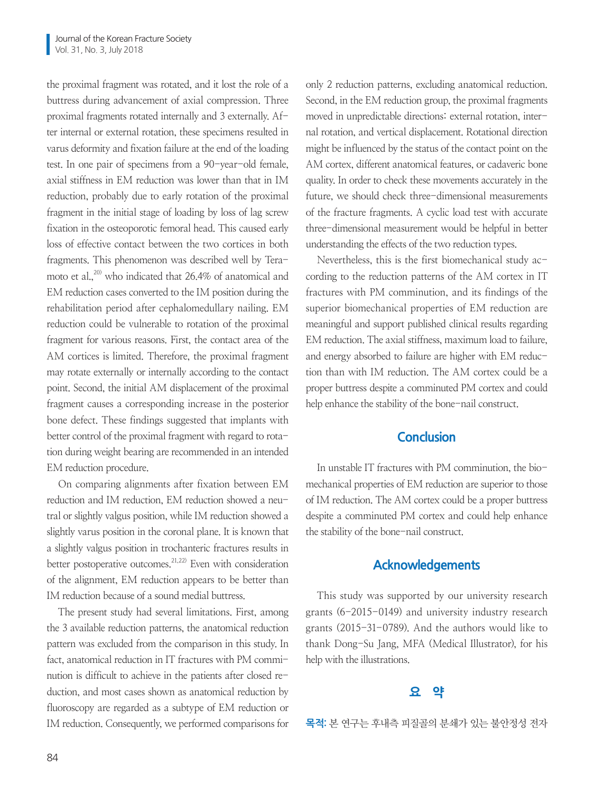the proximal fragment was rotated, and it lost the role of a buttress during advancement of axial compression. Three proximal fragments rotated internally and 3 externally. After internal or external rotation, these specimens resulted in varus deformity and fixation failure at the end of the loading test. In one pair of specimens from a 90-year-old female, axial stiffness in EM reduction was lower than that in IM reduction, probably due to early rotation of the proximal fragment in the initial stage of loading by loss of lag screw fixation in the osteoporotic femoral head. This caused early loss of effective contact between the two cortices in both fragments. This phenomenon was described well by Teramoto et al.<sup>20)</sup> who indicated that 26.4% of anatomical and EM reduction cases converted to the IM position during the rehabilitation period after cephalomedullary nailing. EM reduction could be vulnerable to rotation of the proximal fragment for various reasons. First, the contact area of the AM cortices is limited. Therefore, the proximal fragment may rotate externally or internally according to the contact point. Second, the initial AM displacement of the proximal fragment causes a corresponding increase in the posterior bone defect. These findings suggested that implants with better control of the proximal fragment with regard to rotation during weight bearing are recommended in an intended EM reduction procedure.

On comparing alignments after fixation between EM reduction and IM reduction, EM reduction showed a neutral or slightly valgus position, while IM reduction showed a slightly varus position in the coronal plane. It is known that a slightly valgus position in trochanteric fractures results in better postoperative outcomes.<sup>21,22)</sup> Even with consideration of the alignment, EM reduction appears to be better than IM reduction because of a sound medial buttress.

The present study had several limitations. First, among the 3 available reduction patterns, the anatomical reduction pattern was excluded from the comparison in this study. In fact, anatomical reduction in IT fractures with PM comminution is difficult to achieve in the patients after closed reduction, and most cases shown as anatomical reduction by fluoroscopy are regarded as a subtype of EM reduction or IM reduction. Consequently, we performed comparisons for only 2 reduction patterns, excluding anatomical reduction. Second, in the EM reduction group, the proximal fragments moved in unpredictable directions: external rotation, internal rotation, and vertical displacement. Rotational direction might be influenced by the status of the contact point on the AM cortex, different anatomical features, or cadaveric bone quality. In order to check these movements accurately in the future, we should check three-dimensional measurements of the fracture fragments. A cyclic load test with accurate three-dimensional measurement would be helpful in better understanding the effects of the two reduction types.

Nevertheless, this is the first biomechanical study according to the reduction patterns of the AM cortex in IT fractures with PM comminution, and its findings of the superior biomechanical properties of EM reduction are meaningful and support published clinical results regarding EM reduction. The axial stiffness, maximum load to failure, and energy absorbed to failure are higher with EM reduction than with IM reduction. The AM cortex could be a proper buttress despite a comminuted PM cortex and could help enhance the stability of the bone-nail construct.

# **Conclusion**

In unstable IT fractures with PM comminution, the biomechanical properties of EM reduction are superior to those of IM reduction. The AM cortex could be a proper buttress despite a comminuted PM cortex and could help enhance the stability of the bone-nail construct.

## **Acknowledgements**

This study was supported by our university research grants (6-2015-0149) and university industry research grants (2015-31-0789). And the authors would like to thank Dong-Su Jang, MFA (Medical Illustrator), for his help with the illustrations.

# **요 약**

**목적:** 본 연구는 후내측 피질골의 분쇄가 있는 불안정성 전자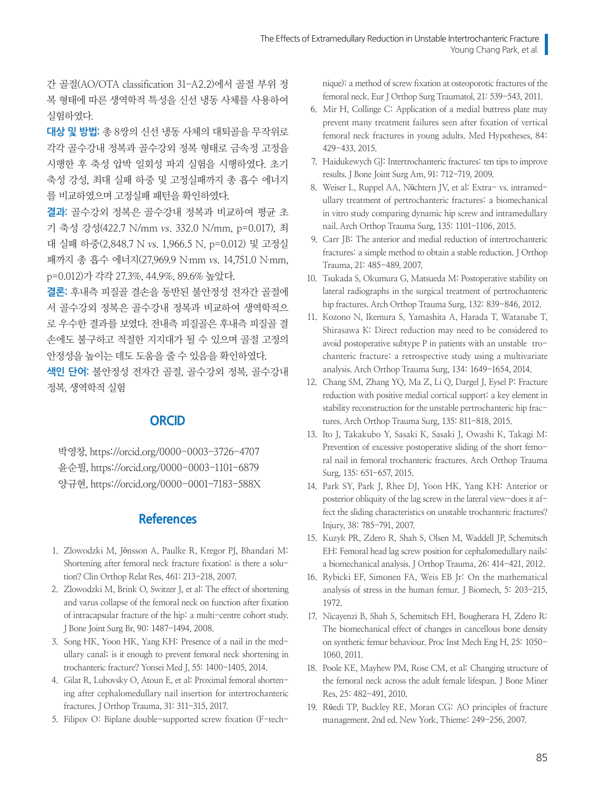간 골절(AO/OTA classification 31-A2.2)에서 골절 부위 정 복 형태에 따른 생역학적 특성을 신선 냉동 사체를 사용하여 실험하였다.

**대상 및 방법:** 총 8쌍의 신선 냉동 사체의 대퇴골을 무작위로 각각 골수강내 정복과 골수강외 정복 형태로 금속정 고정을 시행한 후 축성 압박 일회성 파괴 실험을 시행하였다. 초기 축성 강성, 최대 실패 하중 및 고정실패까지 총 흡수 에너지 를 비교하였으며 고정실패 패턴을 확인하였다.

**결과:** 골수강외 정복은 골수강내 정복과 비교하여 평균 초 기 축성 강성(422.7 N/mm vs. 332.0 N/mm, p=0.017), 최 대 실패 하중(2,848.7 N vs. 1,966.5 N, p=0.012) 및 고정실 패까지 총 흡수 에너지(27,969.9 N·mm vs. 14,751.0 N·mm, p=0.012)가 각각 27.3%, 44.9%, 89.6% 높았다.

**결론:** 후내측 피질골 결손을 동반된 불안정성 전자간 골절에 서 골수강외 정복은 골수강내 정복과 비교하여 생역학적으 로 우수한 결과를 보였다. 전내측 피질골은 후내측 피질골 결 손에도 불구하고 적절한 지지대가 될 수 있으며 골절 고정의 안정성을 높이는 데도 도움을 줄 수 있음을 확인하였다.

**색인 단어:** 불안정성 전자간 골절, 골수강외 정복, 골수강내 정복, 생역학적 실험

# **ORCID**

박영창, https://orcid.org/0000-0003-3726-4707 윤순필, https://orcid.org/0000-0003-1101-6879 양규현, https://orcid.org/0000-0001-7183-588X

# **References**

- 1. Zlowodzki M, Jönsson A, Paulke R, Kregor PJ, Bhandari M: Shortening after femoral neck fracture fixation: is there a solution? Clin Orthop Relat Res, 461: 213-218, 2007.
- 2. Zlowodzki M, Brink O, Switzer J, et al: The effect of shortening and varus collapse of the femoral neck on function after fixation of intracapsular fracture of the hip: a multi-centre cohort study. J Bone Joint Surg Br, 90: 1487-1494, 2008.
- 3. Song HK, Yoon HK, Yang KH: Presence of a nail in the medullary canal; is it enough to prevent femoral neck shortening in trochanteric fracture? Yonsei Med J, 55: 1400-1405, 2014.
- 4. Gilat R, Lubovsky O, Atoun E, et al: Proximal femoral shortening after cephalomedullary nail insertion for intertrochanteric fractures. J Orthop Trauma, 31: 311-315, 2017.
- 5. Filipov O: Biplane double-supported screw fixation (F-tech-

nique): a method of screw fixation at osteoporotic fractures of the femoral neck. Eur J Orthop Surg Traumatol, 21: 539-543, 2011.

- 6. Mir H, Collinge C: Application of a medial buttress plate may prevent many treatment failures seen after fixation of vertical femoral neck fractures in young adults. Med Hypotheses, 84: 429-433, 2015.
- 7. Haidukewych GJ: Intertrochanteric fractures: ten tips to improve results. J Bone Joint Surg Am, 91: 712-719, 2009.
- 8. Weiser L, Ruppel AA, Nüchtern JV, et al: Extra- vs. intramedullary treatment of pertrochanteric fractures: a biomechanical in vitro study comparing dynamic hip screw and intramedullary nail. Arch Orthop Trauma Surg, 135: 1101-1106, 2015.
- 9. Carr JB: The anterior and medial reduction of intertrochanteric fractures: a simple method to obtain a stable reduction. J Orthop Trauma, 21: 485-489, 2007.
- 10. Tsukada S, Okumura G, Matsueda M: Postoperative stability on lateral radiographs in the surgical treatment of pertrochanteric hip fractures. Arch Orthop Trauma Surg, 132: 839-846, 2012.
- 11. Kozono N, Ikemura S, Yamashita A, Harada T, Watanabe T, Shirasawa K: Direct reduction may need to be considered to avoid postoperative subtype P in patients with an unstable trochanteric fracture: a retrospective study using a multivariate analysis. Arch Orthop Trauma Surg, 134: 1649-1654, 2014.
- 12. Chang SM, Zhang YQ, Ma Z, Li Q, Dargel J, Eysel P: Fracture reduction with positive medial cortical support: a key element in stability reconstruction for the unstable pertrochanteric hip fractures. Arch Orthop Trauma Surg, 135: 811-818, 2015.
- 13. Ito J, Takakubo Y, Sasaki K, Sasaki J, Owashi K, Takagi M: Prevention of excessive postoperative sliding of the short femoral nail in femoral trochanteric fractures. Arch Orthop Trauma Surg, 135: 651-657, 2015.
- 14. Park SY, Park J, Rhee DJ, Yoon HK, Yang KH: Anterior or posterior obliquity of the lag screw in the lateral view-does it affect the sliding characteristics on unstable trochanteric fractures? Injury, 38: 785-791, 2007.
- 15. Kuzyk PR, Zdero R, Shah S, Olsen M, Waddell JP, Schemitsch EH: Femoral head lag screw position for cephalomedullary nails: a biomechanical analysis. J Orthop Trauma, 26: 414-421, 2012.
- 16. Rybicki EF, Simonen FA, Weis EB Jr: On the mathematical analysis of stress in the human femur. J Biomech, 5: 203-215, 1972.
- 17. Nicayenzi B, Shah S, Schemitsch EH, Bougherara H, Zdero R: The biomechanical effect of changes in cancellous bone density on synthetic femur behaviour. Proc Inst Mech Eng H, 25: 1050- 1060, 2011.
- 18. Poole KE, Mayhew PM, Rose CM, et al: Changing structure of the femoral neck across the adult female lifespan. J Bone Miner Res, 25: 482-491, 2010.
- 19. Rüedi TP, Buckley RE, Moran CG: AO principles of fracture management. 2nd ed. New York, Thieme: 249-256, 2007.